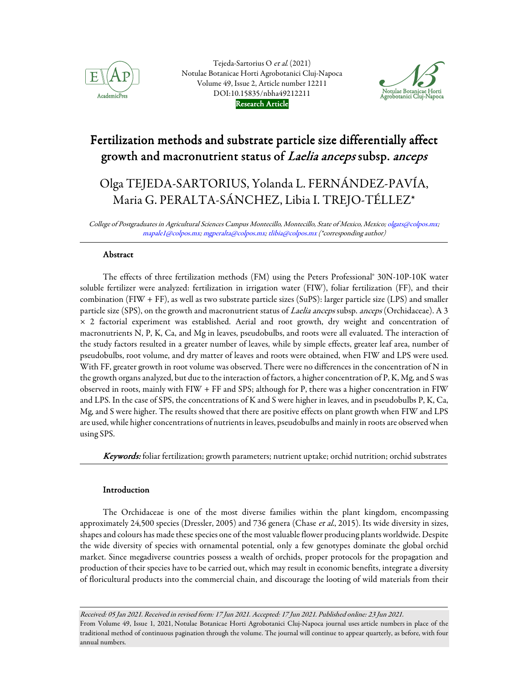

Tejeda-Sartorius O et al. (2021) Notulae Botanicae Horti Agrobotanici Cluj-Napoca Volume 49, Issue 2, Article number 12211 DOI:10.15835/nbha49212211 Research Article



# Fertilization methods and substrate particle size differentially affect growth and macronutrient status of Laelia anceps subsp. anceps

# Olga TEJEDA-SARTORIUS, Yolanda L. FERNÁNDEZ-PAVÍA, Maria G. PERALTA-SÁNCHEZ, Libia I. TREJO-TÉLLEZ\*

College of Postgraduates in Agricultural Sciences Campus Montecillo, Montecillo, State of Mexico, Mexico; olgats@colpos.mx; mapale1@colpos.mx; mgperalta@colpos.mx; tlibia@colpos.mx (\*corresponding author)

# Abstract

The effects of three fertilization methods (FM) using the Peters Professional® 30N-10P-10K water soluble fertilizer were analyzed: fertilization in irrigation water (FIW), foliar fertilization (FF), and their combination (FIW + FF), as well as two substrate particle sizes (SuPS): larger particle size (LPS) and smaller particle size (SPS), on the growth and macronutrient status of Laelia anceps subsp. anceps (Orchidaceae). A 3 × 2 factorial experiment was established. Aerial and root growth, dry weight and concentration of macronutrients N, P, K, Ca, and Mg in leaves, pseudobulbs, and roots were all evaluated. The interaction of the study factors resulted in a greater number of leaves, while by simple effects, greater leaf area, number of pseudobulbs, root volume, and dry matter of leaves and roots were obtained, when FIW and LPS were used. With FF, greater growth in root volume was observed. There were no differences in the concentration of N in the growth organs analyzed, but due to the interaction of factors, a higher concentration of P, K, Mg, and S was observed in roots, mainly with FIW + FF and SPS; although for P, there was a higher concentration in FIW and LPS. In the case of SPS, the concentrations of K and S were higher in leaves, and in pseudobulbs P, K, Ca, Mg, and S were higher. The results showed that there are positive effects on plant growth when FIW and LPS are used, while higher concentrations of nutrients in leaves, pseudobulbs and mainly in roots are observed when using SPS.

Keywords: foliar fertilization; growth parameters; nutrient uptake; orchid nutrition; orchid substrates

# Introduction

The Orchidaceae is one of the most diverse families within the plant kingdom, encompassing approximately 24,500 species (Dressler, 2005) and 736 genera (Chase et al., 2015). Its wide diversity in sizes, shapes and colours has made these species one of the most valuable flower producing plants worldwide. Despite the wide diversity of species with ornamental potential, only a few genotypes dominate the global orchid market. Since megadiverse countries possess a wealth of orchids, proper protocols for the propagation and production of their species have to be carried out, which may result in economic benefits, integrate a diversity of floricultural products into the commercial chain, and discourage the looting of wild materials from their

Received: 05 Jan 2021. Received in revised form: 17 Jun 2021. Accepted: 17 Jun 2021. Published online: 23 Jun 2021. From Volume 49, Issue 1, 2021, Notulae Botanicae Horti Agrobotanici Cluj-Napoca journal uses article numbers in place of the traditional method of continuous pagination through the volume. The journal will continue to appear quarterly, as before, with four annual numbers.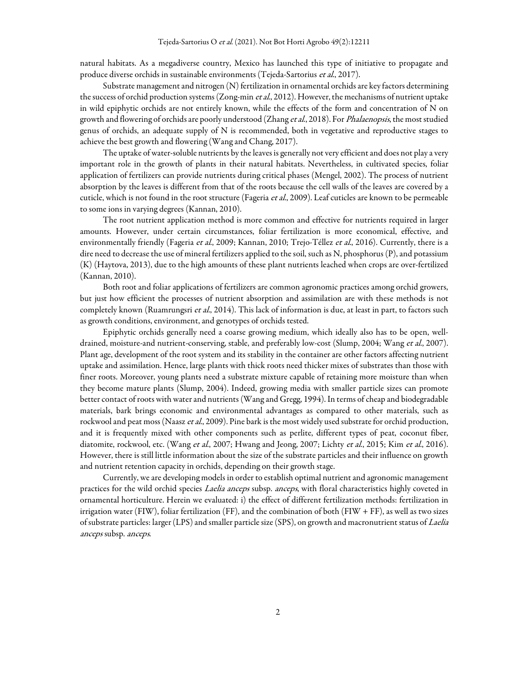natural habitats. As a megadiverse country, Mexico has launched this type of initiative to propagate and produce diverse orchids in sustainable environments (Tejeda-Sartorius et al., 2017).

Substrate management and nitrogen (N) fertilization in ornamental orchids are key factors determining the success of orchid production systems (Zong-min et al., 2012). However, the mechanisms of nutrient uptake in wild epiphytic orchids are not entirely known, while the effects of the form and concentration of N on growth and flowering of orchids are poorly understood (Zhang et al., 2018). For *Phalaenopsis*, the most studied genus of orchids, an adequate supply of N is recommended, both in vegetative and reproductive stages to achieve the best growth and flowering (Wang and Chang, 2017).

The uptake of water-soluble nutrients by the leaves is generally not very efficient and does not play a very important role in the growth of plants in their natural habitats. Nevertheless, in cultivated species, foliar application of fertilizers can provide nutrients during critical phases (Mengel, 2002). The process of nutrient absorption by the leaves is different from that of the roots because the cell walls of the leaves are covered by a cuticle, which is not found in the root structure (Fageria et al., 2009). Leaf cuticles are known to be permeable to some ions in varying degrees (Kannan, 2010).

The root nutrient application method is more common and effective for nutrients required in larger amounts. However, under certain circumstances, foliar fertilization is more economical, effective, and environmentally friendly (Fageria et al., 2009; Kannan, 2010; Trejo-Téllez et al., 2016). Currently, there is a dire need to decrease the use of mineral fertilizers applied to the soil, such as N, phosphorus (P), and potassium (K) (Haytova, 2013), due to the high amounts of these plant nutrients leached when crops are over-fertilized (Kannan, 2010).

Both root and foliar applications of fertilizers are common agronomic practices among orchid growers, but just how efficient the processes of nutrient absorption and assimilation are with these methods is not completely known (Ruamrungsri et al., 2014). This lack of information is due, at least in part, to factors such as growth conditions, environment, and genotypes of orchids tested.

Epiphytic orchids generally need a coarse growing medium, which ideally also has to be open, welldrained, moisture-and nutrient-conserving, stable, and preferably low-cost (Slump, 2004; Wang et al., 2007). Plant age, development of the root system and its stability in the container are other factors affecting nutrient uptake and assimilation. Hence, large plants with thick roots need thicker mixes of substrates than those with finer roots. Moreover, young plants need a substrate mixture capable of retaining more moisture than when they become mature plants (Slump, 2004). Indeed, growing media with smaller particle sizes can promote better contact of roots with water and nutrients (Wang and Gregg, 1994). In terms of cheap and biodegradable materials, bark brings economic and environmental advantages as compared to other materials, such as rockwool and peat moss (Naasz et al., 2009). Pine bark is the most widely used substrate for orchid production, and it is frequently mixed with other components such as perlite, different types of peat, coconut fiber, diatomite, rockwool, etc. (Wang et al., 2007; Hwang and Jeong, 2007; Lichty et al., 2015; Kim et al., 2016). However, there is still little information about the size of the substrate particles and their influence on growth and nutrient retention capacity in orchids, depending on their growth stage.

Currently, we are developing models in order to establish optimal nutrient and agronomic management practices for the wild orchid species Laelia anceps subsp. anceps, with floral characteristics highly coveted in ornamental horticulture. Herein we evaluated: i) the effect of different fertilization methods: fertilization in irrigation water (FIW), foliar fertilization (FF), and the combination of both (FIW + FF), as well as two sizes of substrate particles: larger (LPS) and smaller particle size (SPS), on growth and macronutrient status of Laelia anceps subsp. anceps.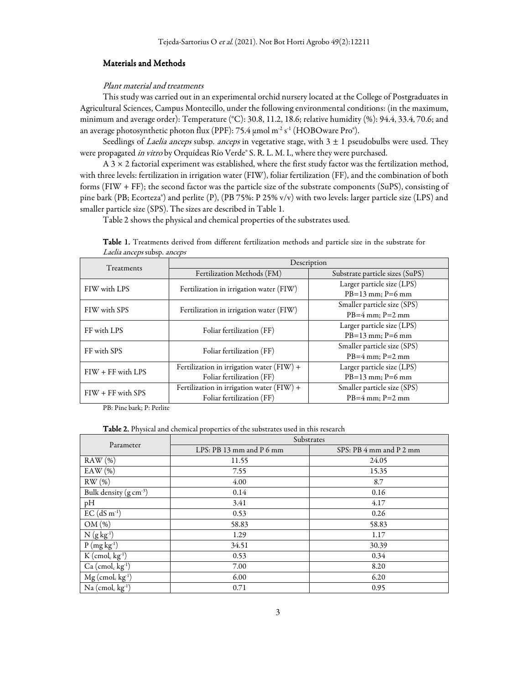# Materials and Methods

# Plant material and treatments

This study was carried out in an experimental orchid nursery located at the College of Postgraduates in Agricultural Sciences, Campus Montecillo, under the following environmental conditions: (in the maximum, minimum and average order): Temperature (°C): 30.8, 11.2, 18.6; relative humidity (%): 94.4, 33.4, 70.6; and an average photosynthetic photon flux (PPF): 75.4  $\mu$ mol m<sup>-2</sup> s<sup>-1</sup> (HOBOware Pro®).

Seedlings of *Laelia anceps* subsp. anceps in vegetative stage, with  $3 \pm 1$  pseudobulbs were used. They were propagated in vitro by Orquídeas Río Verde® S. R. L. M. I., where they were purchased.

A  $3 \times 2$  factorial experiment was established, where the first study factor was the fertilization method, with three levels: fertilization in irrigation water (FIW), foliar fertilization (FF), and the combination of both forms (FIW + FF); the second factor was the particle size of the substrate components (SuPS), consisting of pine bark (PB; Ecorteza®) and perlite (P), (PB 75%: P 25% v/v) with two levels: larger particle size (LPS) and smaller particle size (SPS). The sizes are described in Table 1.

Table 2 shows the physical and chemical properties of the substrates used.

| Treatments          | Description                                 |                                 |  |  |  |
|---------------------|---------------------------------------------|---------------------------------|--|--|--|
|                     | Fertilization Methods (FM)                  | Substrate particle sizes (SuPS) |  |  |  |
| FIW with LPS        | Fertilization in irrigation water (FIW)     | Larger particle size (LPS)      |  |  |  |
|                     |                                             | $PB=13$ mm; $P=6$ mm            |  |  |  |
| FIW with SPS        | Fertilization in irrigation water (FIW)     | Smaller particle size (SPS)     |  |  |  |
|                     |                                             | $PB=4$ mm; $P=2$ mm             |  |  |  |
| FF with LPS         | Foliar fertilization (FF)                   | Larger particle size (LPS)      |  |  |  |
|                     |                                             | $PB=13$ mm; $P=6$ mm            |  |  |  |
| FF with SPS         | Foliar fertilization (FF)                   | Smaller particle size (SPS)     |  |  |  |
|                     |                                             | $PB=4$ mm; $P=2$ mm             |  |  |  |
| $FIW + FF$ with LPS | Fertilization in irrigation water (FIW) +   | Larger particle size (LPS)      |  |  |  |
|                     | Foliar fertilization (FF)                   | $PB=13$ mm; $P=6$ mm            |  |  |  |
| $FIW + FF$ with SPS | Fertilization in irrigation water $(FIW) +$ | Smaller particle size (SPS)     |  |  |  |
|                     | Foliar fertilization (FF)                   | $PB=4$ mm; $P=2$ mm             |  |  |  |

Table 1. Treatments derived from different fertilization methods and particle size in the substrate for Laelia anceps subsp. anceps

PB: Pine bark; P: Perlite

Table 2. Physical and chemical properties of the substrates used in this research

| Parameter                                  | Substrates               |                         |  |  |  |
|--------------------------------------------|--------------------------|-------------------------|--|--|--|
|                                            | LPS: PB 13 mm and P 6 mm | SPS: PB 4 mm and P 2 mm |  |  |  |
| RAW(%)                                     | 11.55                    | 24.05                   |  |  |  |
| EAW $(%)$                                  | 7.55                     | 15.35                   |  |  |  |
| RW(%)                                      | 4.00                     | 8.7                     |  |  |  |
| Bulk density (g cm <sup>-3</sup> )         | 0.14                     | 0.16                    |  |  |  |
| pH                                         | 3.41                     | 4.17                    |  |  |  |
| $EC$ (dS m <sup>-1</sup> )                 | 0.53                     | 0.26                    |  |  |  |
| OM(%)                                      | 58.83                    | 58.83                   |  |  |  |
| $N(gkg-1)$                                 | 1.29                     | 1.17                    |  |  |  |
| $P(mgkg-1)$                                | 34.51                    | 30.39                   |  |  |  |
| $K$ (cmol <sub>c</sub> kg <sup>-1</sup> )  | 0.53                     | 0.34                    |  |  |  |
| Ca (cmol <sub>c</sub> kg <sup>-1</sup> )   | 7.00                     | 8.20                    |  |  |  |
| $Mg$ (cmol <sub>c</sub> kg <sup>-1</sup> ) | 6.00                     | 6.20                    |  |  |  |
| $Na$ (cmol <sub>c</sub> kg <sup>-1</sup> ) | 0.71                     | 0.95                    |  |  |  |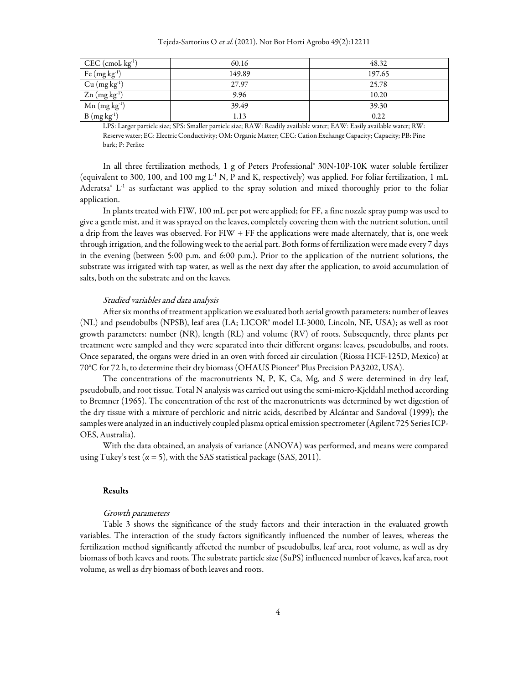| $CEC$ (cmol <sub>c</sub> kg <sup>-1</sup> ) | 60.16  | 48.32  |
|---------------------------------------------|--------|--------|
| Fe $(mg kg-1)$                              | 149.89 | 197.65 |
| Cu (mg kg <sup>1</sup> )                    | 27.97  | 25.78  |
| $Zn$ (mg kg <sup>-1</sup> )                 | 9.96   | 10.20  |
| $Mn$ (mg kg <sup>-1</sup> )                 | 39.49  | 39.30  |
| $B(mgkg-1)$                                 | 1.13   | 0.22   |

LPS: Larger particle size; SPS: Smaller particle size; RAW: Readily available water; EAW: Easily available water; RW: Reserve water; EC: Electric Conductivity; OM: Organic Matter; CEC: Cation Exchange Capacity; Capacity; PB: Pine bark; P: Perlite

In all three fertilization methods, 1 g of Peters Professional® 30N-10P-10K water soluble fertilizer (equivalent to 300, 100, and 100 mg  $L^1$  N, P and K, respectively) was applied. For foliar fertilization, 1 mL Aderatsa $^{\circ}$  L<sup>-1</sup> as surfactant was applied to the spray solution and mixed thoroughly prior to the foliar application.

In plants treated with FIW, 100 mL per pot were applied; for FF, a fine nozzle spray pump was used to give a gentle mist, and it was sprayed on the leaves, completely covering them with the nutrient solution, until a drip from the leaves was observed. For FIW + FF the applications were made alternately, that is, one week through irrigation, and the following week to the aerial part. Both forms of fertilization were made every 7 days in the evening (between 5:00 p.m. and 6:00 p.m.). Prior to the application of the nutrient solutions, the substrate was irrigated with tap water, as well as the next day after the application, to avoid accumulation of salts, both on the substrate and on the leaves.

## Studied variables and data analysis

After six months of treatment application we evaluated both aerial growth parameters: number of leaves (NL) and pseudobulbs (NPSB), leaf area (LA; LICOR® model LI-3000, Lincoln, NE, USA); as well as root growth parameters: number (NR), length (RL) and volume (RV) of roots. Subsequently, three plants per treatment were sampled and they were separated into their different organs: leaves, pseudobulbs, and roots. Once separated, the organs were dried in an oven with forced air circulation (Riossa HCF-125D, Mexico) at 70°C for 72 h, to determine their dry biomass (OHAUS Pioneer® Plus Precision PA3202, USA).

The concentrations of the macronutrients N, P, K, Ca, Mg, and S were determined in dry leaf, pseudobulb, and root tissue. Total N analysis was carried out using the semi-micro-Kjeldahl method according to Bremner (1965). The concentration of the rest of the macronutrients was determined by wet digestion of the dry tissue with a mixture of perchloric and nitric acids, described by Alcántar and Sandoval (1999); the samples were analyzed in an inductively coupled plasma optical emission spectrometer (Agilent 725 Series ICP-OES, Australia).

With the data obtained, an analysis of variance (ANOVA) was performed, and means were compared using Tukey's test ( $\alpha$  = 5), with the SAS statistical package (SAS, 2011).

## Results

## Growth parameters

Table 3 shows the significance of the study factors and their interaction in the evaluated growth variables. The interaction of the study factors significantly influenced the number of leaves, whereas the fertilization method significantly affected the number of pseudobulbs, leaf area, root volume, as well as dry biomass of both leaves and roots. The substrate particle size (SuPS) influenced number of leaves, leaf area, root volume, as well as dry biomass of both leaves and roots.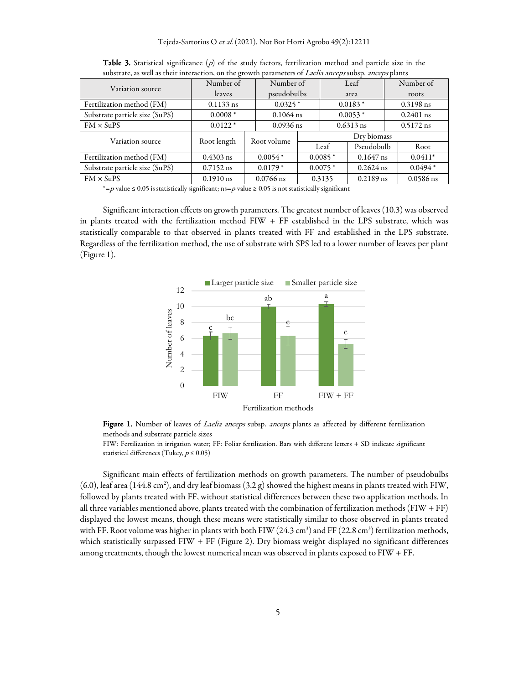| Variation source               | Number of     |                          | Number of   |                       | Leaf        |             | Number of   |  |
|--------------------------------|---------------|--------------------------|-------------|-----------------------|-------------|-------------|-------------|--|
|                                | <i>leaves</i> |                          | pseudobulbs |                       | area        |             | roots       |  |
| Fertilization method (FM)      | $0.1133$ ns   | $0.0325*$                |             |                       | $0.0183*$   |             | $0.3198$ ns |  |
| Substrate particle size (SuPS) | $0.0008*$     | $0.1064$ ns<br>$0.0053*$ |             |                       | $0.2401$ ns |             |             |  |
| $FM \times SuPS$               | $0.0122*$     | $0.0936$ ns              | $0.6313$ ns |                       |             | $0.5172$ ns |             |  |
| Variation source               | Root length   | Root volume              |             | Dry biomass           |             |             |             |  |
|                                |               |                          | Leaf        |                       | Pseudobulb  |             | Root        |  |
| Fertilization method (FM)      | $0.4303$ ns   | $0.0054*$                | $0.0085*$   |                       | $0.1647$ ns |             | $0.0411*$   |  |
| Substrate particle size (SuPS) | $0.7152$ ns   | $0.0179*$                | $0.0075*$   |                       | $0.2624$ ns |             | $0.0494*$   |  |
| $FM \times SuPS$               | $0.1910$ ns   | $0.0766$ ns              |             | $0.2189$ ns<br>0.3135 |             |             | $0.0586$ ns |  |

**Table 3.** Statistical significance  $(p)$  of the study factors, fertilization method and particle size in the substrate, as well as their interaction, on the growth parameters of *Laelia anceps* subsp. *anceps* plants

\*=p-value  $\leq 0.05$  is statistically significant; ns=p-value  $\geq 0.05$  is not statistically significant

Significant interaction effects on growth parameters. The greatest number of leaves (10.3) was observed in plants treated with the fertilization method FIW + FF established in the LPS substrate, which was statistically comparable to that observed in plants treated with FF and established in the LPS substrate. Regardless of the fertilization method, the use of substrate with SPS led to a lower number of leaves per plant (Figure 1).



Figure 1. Number of leaves of *Laelia anceps* subsp. anceps plants as affected by different fertilization methods and substrate particle sizes

FIW: Fertilization in irrigation water; FF: Foliar fertilization. Bars with different letters + SD indicate significant statistical differences (Tukey,  $p \leq 0.05$ )

Significant main effects of fertilization methods on growth parameters. The number of pseudobulbs  $(6.0)$ , leaf area (144.8 cm<sup>2</sup>), and dry leaf biomass (3.2 g) showed the highest means in plants treated with FIW, followed by plants treated with FF, without statistical differences between these two application methods. In all three variables mentioned above, plants treated with the combination of fertilization methods (FIW + FF) displayed the lowest means, though these means were statistically similar to those observed in plants treated with FF. Root volume was higher in plants with both FIW (24.3 cm<sup>3</sup>) and FF (22.8 cm<sup>3</sup>) fertilization methods, which statistically surpassed FIW + FF (Figure 2). Dry biomass weight displayed no significant differences among treatments, though the lowest numerical mean was observed in plants exposed to FIW + FF.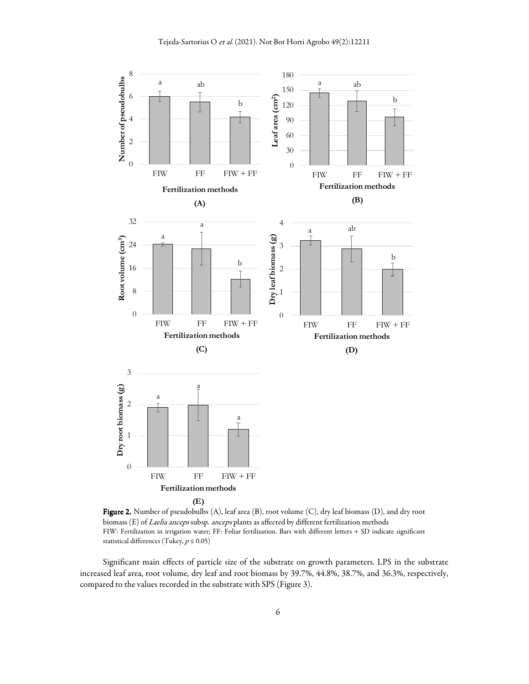

Figure 2. Number of pseudobulbs (A), leaf area (B), root volume (C), dry leaf biomass (D), and dry root biomass (E) of Laelia anceps subsp. anceps plants as affected by different fertilization methods FIW: Fertilization in irrigation water; FF: Foliar fertilization. Bars with different letters + SD indicate significant statistical differences (Tukey,  $p \leq 0.05)$ 

Significant main effects of particle size of the substrate on growth parameters. LPS in the substrate increased leaf area, root volume, dry leaf and root biomass by 39.7%, 44.8%, 38.7%, and 36.3%, respectively, compared to the values recorded in the substrate with SPS (Figure 3).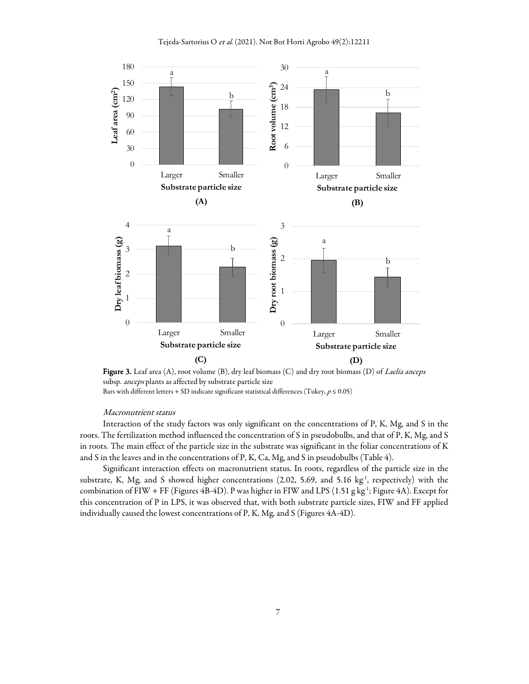

Figure 3. Leaf area (A), root volume (B), dry leaf biomass (C) and dry root biomass (D) of *Laelia anceps* subsp. anceps plants as affected by substrate particle size Bars with different letters + SD indicate significant statistical differences (Tukey,  $p \le 0.05$ )

#### Macronutrient status

Interaction of the study factors was only significant on the concentrations of P, K, Mg, and S in the roots. The fertilization method influenced the concentration of S in pseudobulbs, and that of P, K, Mg, and S in roots. The main effect of the particle size in the substrate was significant in the foliar concentrations of K and S in the leaves and in the concentrations of P, K, Ca, Mg, and S in pseudobulbs (Table 4).

Significant interaction effects on macronutrient status. In roots, regardless of the particle size in the substrate, K, Mg, and S showed higher concentrations (2.02, 5.69, and 5.16 kg<sup>-1</sup>, respectively) with the combination of FIW + FF (Figures 4B-4D). P was higher in FIW and LPS (1.51 g kg<sup>-1</sup>; Figure 4A). Except for this concentration of P in LPS, it was observed that, with both substrate particle sizes, FIW and FF applied individually caused the lowest concentrations of P, K, Mg, and S (Figures 4A-4D).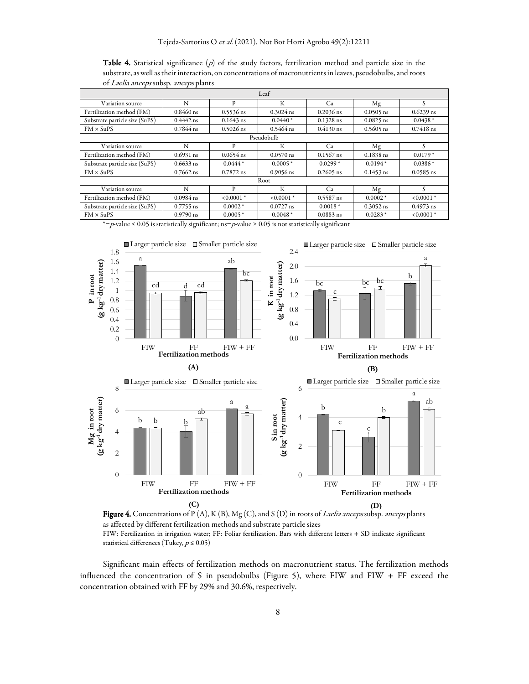**Table 4.** Statistical significance ( $p$ ) of the study factors, fertilization method and particle size in the substrate, as well as their interaction, on concentrations of macronutrients in leaves, pseudobulbs, and roots of Laelia anceps subsp. anceps plants

| Leaf                           |             |              |             |             |             |              |  |
|--------------------------------|-------------|--------------|-------------|-------------|-------------|--------------|--|
| Variation source               | N           | P            | K           | Ca          | Mg          | S            |  |
| Fertilization method (FM)      | $0.8460$ ns | $0.5536$ ns  | $0.3024$ ns | $0.2036$ ns | $0.0505$ ns | $0.6239$ ns  |  |
| Substrate particle size (SuPS) | $0.4442$ ns | $0.1643$ ns  | $0.0440*$   | $0.1328$ ns | $0.0825$ ns | $0.0438*$    |  |
| $FM \times SuPS$               | $0.7844$ ns | $0.5026$ ns  | $0.5464$ ns | $0.4130$ ns | $0.5605$ ns | $0.7418$ ns  |  |
| Pseudobulb                     |             |              |             |             |             |              |  |
| Variation source               | N           | P            | К           | Ca          | Mg          | S            |  |
| Fertilization method (FM)      | $0.6931$ ns | $0.0654$ ns  | $0.0570$ ns | $0.1567$ ns | $0.1838$ ns | $0.0179*$    |  |
| Substrate particle size (SuPS) | $0.6633$ ns | $0.0444*$    | $0.0005*$   | $0.0299*$   | $0.0194*$   | $0.0386*$    |  |
| $FM \times SuPS$               | $0.7662$ ns | $0.7872$ ns  | $0.9056$ ns | $0.2605$ ns | $0.1453$ ns | $0.0585$ ns  |  |
| Root                           |             |              |             |             |             |              |  |
| Variation source               | N           | P            | К           | Ca          | Mg          | S            |  |
| Fertilization method (FM)      | $0.0984$ ns | $< 0.0001$ * | $0.0001*$   | $0.5587$ ns | $0.0002*$   | $< 0.0001$ * |  |
| Substrate particle size (SuPS) | $0.7755$ ns | $0.0002*$    | $0.0727$ ns | $0.0018*$   | $0.3052$ ns | $0.4973$ ns  |  |
| $FM \times SuPS$               | $0.9790$ ns | $0.0005*$    | $0.0048*$   | $0.0883$ ns | $0.0283*$   | $< 0.0001$ * |  |

\*=p-value  $\leq 0.05$  is statistically significant; ns=p-value  $\geq 0.05$  is not statistically significant



Figure 4. Concentrations of P (A), K (B), Mg (C), and S (D) in roots of *Laelia anceps* subsp. *anceps* plants as affected by different fertilization methods and substrate particle sizes FIW: Fertilization in irrigation water; FF: Foliar fertilization. Bars with different letters + SD indicate significant statistical differences (Tukey,  $p \le 0.05$ )

Significant main effects of fertilization methods on macronutrient status. The fertilization methods influenced the concentration of S in pseudobulbs (Figure 5), where FIW and FIW + FF exceed the concentration obtained with FF by 29% and 30.6%, respectively.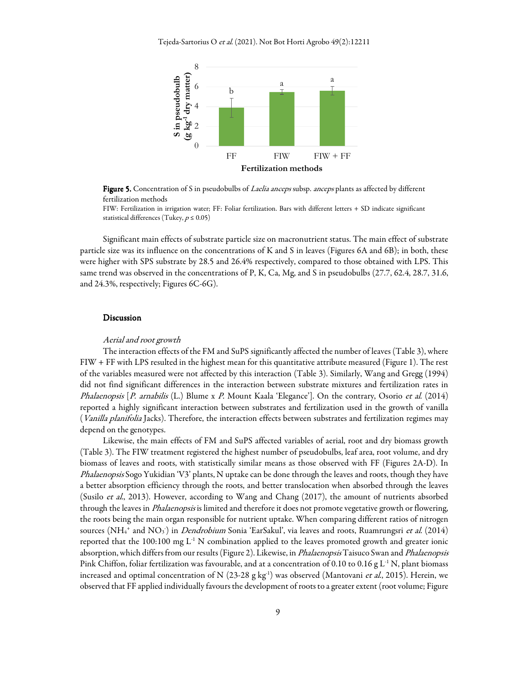Tejeda-Sartorius O et al. (2021). Not Bot Horti Agrobo 49(2):12211



Figure 5. Concentration of S in pseudobulbs of Laelia anceps subsp. anceps plants as affected by different fertilization methods

FIW: Fertilization in irrigation water; FF: Foliar fertilization. Bars with different letters + SD indicate significant statistical differences (Tukey,  $p \le 0.05$ )

Significant main effects of substrate particle size on macronutrient status. The main effect of substrate particle size was its influence on the concentrations of K and S in leaves (Figures 6A and 6B); in both, these were higher with SPS substrate by 28.5 and 26.4% respectively, compared to those obtained with LPS. This same trend was observed in the concentrations of P, K, Ca, Mg, and S in pseudobulbs (27.7, 62.4, 28.7, 31.6, and 24.3%, respectively; Figures 6C-6G).

## Discussion

#### Aerial and root growth

The interaction effects of the FM and SuPS significantly affected the number of leaves (Table 3), where FIW + FF with LPS resulted in the highest mean for this quantitative attribute measured (Figure 1). The rest of the variables measured were not affected by this interaction (Table 3). Similarly, Wang and Gregg (1994) did not find significant differences in the interaction between substrate mixtures and fertilization rates in *Phalaenopsis* [*P. arnabilis* (L.) Blume x *P.* Mount Kaala 'Elegance']. On the contrary, Osorio *et al.* (2014) reported a highly significant interaction between substrates and fertilization used in the growth of vanilla (*Vanilla planifolia* Jacks). Therefore, the interaction effects between substrates and fertilization regimes may depend on the genotypes.

Likewise, the main effects of FM and SuPS affected variables of aerial, root and dry biomass growth (Table 3). The FIW treatment registered the highest number of pseudobulbs, leaf area, root volume, and dry biomass of leaves and roots, with statistically similar means as those observed with FF (Figures 2A-D). In Phalaenopsis Sogo Yukidian 'V3' plants, N uptake can be done through the leaves and roots, though they have a better absorption efficiency through the roots, and better translocation when absorbed through the leaves (Susilo et al., 2013). However, according to Wang and Chang (2017), the amount of nutrients absorbed through the leaves in *Phalaenopsis* is limited and therefore it does not promote vegetative growth or flowering, the roots being the main organ responsible for nutrient uptake. When comparing different ratios of nitrogen sources (NH<sub>4</sub>+ and NO<sub>3</sub>) in *Dendrobium* Sonia 'EarSakul', via leaves and roots, Ruamrungsri *et al*. (2014) reported that the 100:100 mg  $L^{-1}$  N combination applied to the leaves promoted growth and greater ionic absorption, which differs from our results (Figure 2). Likewise, in Phalaenopsis Taisuco Swan and Phalaenopsis Pink Chiffon, foliar fertilization was favourable, and at a concentration of 0.10 to 0.16 g L<sup>-1</sup> N, plant biomass increased and optimal concentration of N (23-28 g kg<sup>-1</sup>) was observed (Mantovani *et al.*, 2015). Herein, we observed that FF applied individually favours the development of roots to a greater extent (root volume; Figure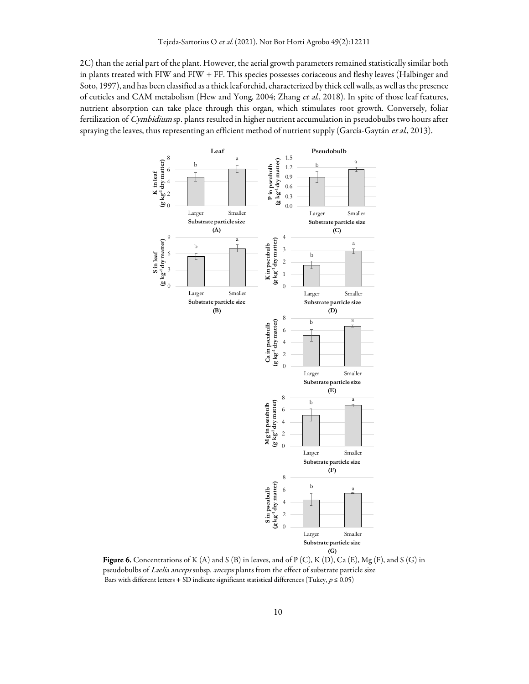2C) than the aerial part of the plant. However, the aerial growth parameters remained statistically similar both in plants treated with FIW and FIW + FF. This species possesses coriaceous and fleshy leaves (Halbinger and Soto, 1997), and has been classified as a thick leaf orchid, characterized by thick cell walls, as well as the presence of cuticles and CAM metabolism (Hew and Yong, 2004; Zhang et al., 2018). In spite of those leaf features, nutrient absorption can take place through this organ, which stimulates root growth. Conversely, foliar fertilization of Cymbidium sp. plants resulted in higher nutrient accumulation in pseudobulbs two hours after spraying the leaves, thus representing an efficient method of nutrient supply (García-Gaytán et al., 2013).



Figure 6. Concentrations of K (A) and S (B) in leaves, and of P (C), K (D), Ca (E), Mg (F), and S (G) in pseudobulbs of Laelia anceps subsp. anceps plants from the effect of substrate particle size Bars with different letters + SD indicate significant statistical differences (Tukey,  $p \le 0.05$ )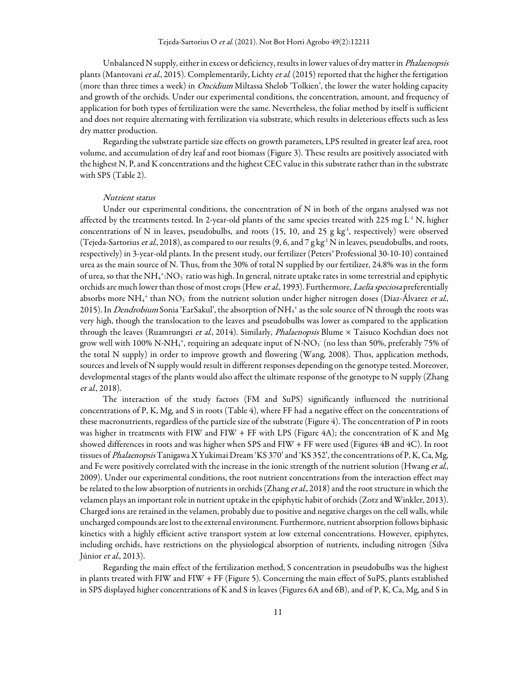Unbalanced N supply, either in excess or deficiency, results in lower values of dry matter in *Phalaenopsis* plants (Mantovani et al., 2015). Complementarily, Lichty et al. (2015) reported that the higher the fertigation (more than three times a week) in *Oncidium* Miltassa Shelob 'Tolkien', the lower the water holding capacity and growth of the orchids. Under our experimental conditions, the concentration, amount, and frequency of application for both types of fertilization were the same. Nevertheless, the foliar method by itself is sufficient and does not require alternating with fertilization via substrate, which results in deleterious effects such as less dry matter production.

Regarding the substrate particle size effects on growth parameters, LPS resulted in greater leaf area, root volume, and accumulation of dry leaf and root biomass (Figure 3). These results are positively associated with the highest N, P, and K concentrations and the highest CEC value in this substrate rather than in the substrate with SPS (Table 2).

## Nutrient status

Under our experimental conditions, the concentration of N in both of the organs analysed was not affected by the treatments tested. In 2-year-old plants of the same species treated with 225 mg  $L^1$  N, higher concentrations of N in leaves, pseudobulbs, and roots (15, 10, and 25 g kg<sup>-1</sup>, respectively) were observed (Tejeda-Sartorius et al., 2018), as compared to our results  $(9, 6,$  and  $7$  g kg<sup>-1</sup> N in leaves, pseudobulbs, and roots, respectively) in 3-year-old plants. In the present study, our fertilizer (Peters® Professional 30-10-10) contained urea as the main source of N. Thus, from the 30% of total N supplied by our fertilizer, 24.8% was in the form of urea, so that the NH<sub>4</sub><sup>+</sup>:NO<sub>3</sub> ratio was high. In general, nitrate uptake rates in some terrestrial and epiphytic orchids are much lower than those of most crops (Hew et al., 1993). Furthermore, Laelia speciosa preferentially absorbs more NH<sub>4</sub><sup>+</sup> than NO<sub>3</sub> from the nutrient solution under higher nitrogen doses (Díaz-Álvarez *et al*., 2015). In *Dendrobium* Sonia 'EarSakul', the absorption of NH<sub>4</sub>+ as the sole source of N through the roots was very high, though the translocation to the leaves and pseudobulbs was lower as compared to the application through the leaves (Ruamrungsri et al., 2014). Similarly, *Phalaenopsis* Blume × Taisuco Kochdian does not grow well with 100% N-NH4 $^{\ast}$ , requiring an adequate input of N-NO3 (no less than 50%, preferably 75% of the total N supply) in order to improve growth and flowering (Wang, 2008). Thus, application methods, sources and levels of N supply would result in different responses depending on the genotype tested. Moreover, developmental stages of the plants would also affect the ultimate response of the genotype to N supply (Zhang et al., 2018).

The interaction of the study factors (FM and SuPS) significantly influenced the nutritional concentrations of P, K, Mg, and S in roots (Table 4), where FF had a negative effect on the concentrations of these macronutrients, regardless of the particle size of the substrate (Figure 4). The concentration of P in roots was higher in treatments with FIW and FIW + FF with LPS (Figure 4A); the concentration of K and Mg showed differences in roots and was higher when SPS and FIW + FF were used (Figures 4B and 4C). In root tissues of Phalaenopsis Tanigawa X Yukimai Dream 'KS 370' and 'KS 352', the concentrations of P, K, Ca, Mg, and Fe were positively correlated with the increase in the ionic strength of the nutrient solution (Hwang et al., 2009). Under our experimental conditions, the root nutrient concentrations from the interaction effect may be related to the low absorption of nutrients in orchids (Zhang et al., 2018) and the root structure in which the velamen plays an important role in nutrient uptake in the epiphytic habit of orchids (Zotz and Winkler, 2013). Charged ions are retained in the velamen, probably due to positive and negative charges on the cell walls, while uncharged compounds are lost to the external environment. Furthermore, nutrient absorption follows biphasic kinetics with a highly efficient active transport system at low external concentrations. However, epiphytes, including orchids, have restrictions on the physiological absorption of nutrients, including nitrogen (Silva Júnior et al., 2013).

Regarding the main effect of the fertilization method, S concentration in pseudobulbs was the highest in plants treated with FIW and FIW + FF (Figure 5). Concerning the main effect of SuPS, plants established in SPS displayed higher concentrations of K and S in leaves (Figures 6A and 6B), and of P, K, Ca, Mg, and S in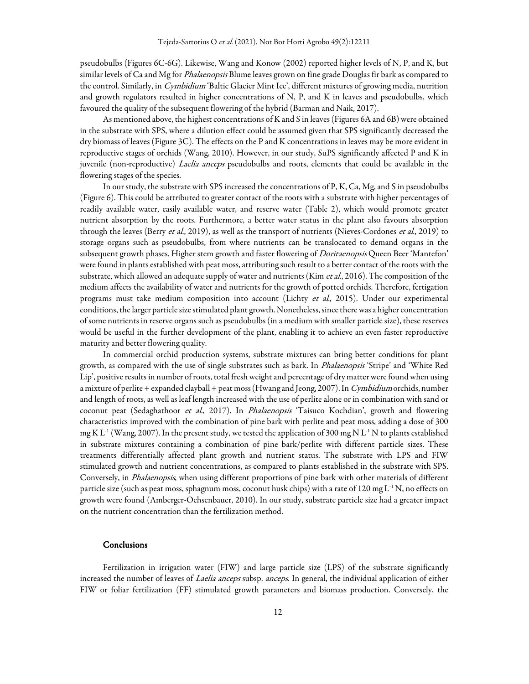pseudobulbs (Figures 6C-6G). Likewise, Wang and Konow (2002) reported higher levels of N, P, and K, but similar levels of Ca and Mg for *Phalaenopsis* Blume leaves grown on fine grade Douglas fir bark as compared to the control. Similarly, in *Cymbidium* 'Baltic Glacier Mint Ice', different mixtures of growing media, nutrition and growth regulators resulted in higher concentrations of N, P, and K in leaves and pseudobulbs, which favoured the quality of the subsequent flowering of the hybrid (Barman and Naik, 2017).

As mentioned above, the highest concentrations of K and S in leaves (Figures 6A and 6B) were obtained in the substrate with SPS, where a dilution effect could be assumed given that SPS significantly decreased the dry biomass of leaves (Figure 3C). The effects on the P and K concentrations in leaves may be more evident in reproductive stages of orchids (Wang, 2010). However, in our study, SuPS significantly affected P and K in juvenile (non-reproductive) Laelia anceps pseudobulbs and roots, elements that could be available in the flowering stages of the species.

In our study, the substrate with SPS increased the concentrations of P, K, Ca, Mg, and S in pseudobulbs (Figure 6). This could be attributed to greater contact of the roots with a substrate with higher percentages of readily available water, easily available water, and reserve water (Table 2), which would promote greater nutrient absorption by the roots. Furthermore, a better water status in the plant also favours absorption through the leaves (Berry et al., 2019), as well as the transport of nutrients (Nieves-Cordones et al., 2019) to storage organs such as pseudobulbs, from where nutrients can be translocated to demand organs in the subsequent growth phases. Higher stem growth and faster flowering of *Doritaenopsis* Queen Beer 'Mantefon' were found in plants established with peat moss, attributing such result to a better contact of the roots with the substrate, which allowed an adequate supply of water and nutrients (Kim *et al.*, 2016). The composition of the medium affects the availability of water and nutrients for the growth of potted orchids. Therefore, fertigation programs must take medium composition into account (Lichty et al., 2015). Under our experimental conditions, the larger particle size stimulated plant growth. Nonetheless, since there was a higher concentration of some nutrients in reserve organs such as pseudobulbs (in a medium with smaller particle size), these reserves would be useful in the further development of the plant, enabling it to achieve an even faster reproductive maturity and better flowering quality.

In commercial orchid production systems, substrate mixtures can bring better conditions for plant growth, as compared with the use of single substrates such as bark. In Phalaenopsis 'Stripe' and 'White Red Lip', positive results in number of roots, total fresh weight and percentage of dry matter were found when using a mixture of perlite + expanded clayball + peat moss (Hwang and Jeong, 2007). In Cymbidium orchids, number and length of roots, as well as leaf length increased with the use of perlite alone or in combination with sand or coconut peat (Sedaghathoor et al., 2017). In Phalaenopsis 'Taisuco Kochdian', growth and flowering characteristics improved with the combination of pine bark with perlite and peat moss, adding a dose of 300 mg K L<sup>-1</sup> (Wang, 2007). In the present study, we tested the application of 300 mg N L<sup>-1</sup> N to plants established in substrate mixtures containing a combination of pine bark/perlite with different particle sizes. These treatments differentially affected plant growth and nutrient status. The substrate with LPS and FIW stimulated growth and nutrient concentrations, as compared to plants established in the substrate with SPS. Conversely, in Phalaenopsis, when using different proportions of pine bark with other materials of different particle size (such as peat moss, sphagnum moss, coconut husk chips) with a rate of 120 mg  $L^{-1}N$ , no effects on growth were found (Amberger-Ochsenbauer, 2010). In our study, substrate particle size had a greater impact on the nutrient concentration than the fertilization method.

#### Conclusions

Fertilization in irrigation water (FIW) and large particle size (LPS) of the substrate significantly increased the number of leaves of Laelia anceps subsp. anceps. In general, the individual application of either FIW or foliar fertilization (FF) stimulated growth parameters and biomass production. Conversely, the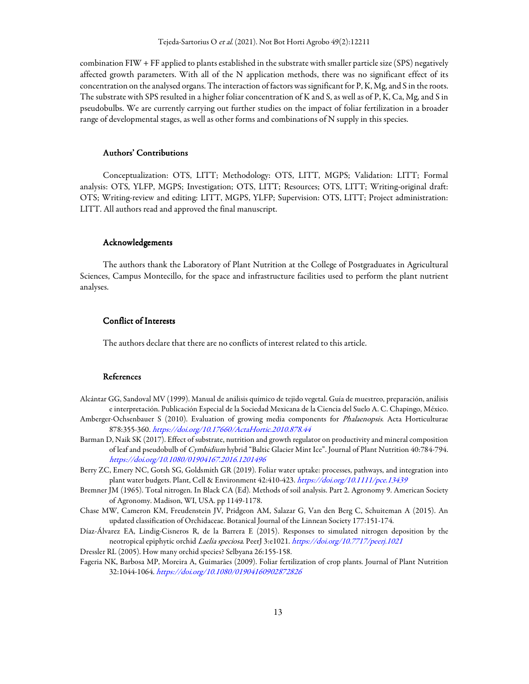combination FIW + FF applied to plants established in the substrate with smaller particle size (SPS) negatively affected growth parameters. With all of the N application methods, there was no significant effect of its concentration on the analysed organs. The interaction of factors was significant for P, K, Mg, and S in the roots. The substrate with SPS resulted in a higher foliar concentration of K and S, as well as of P, K, Ca, Mg, and S in pseudobulbs. We are currently carrying out further studies on the impact of foliar fertilization in a broader range of developmental stages, as well as other forms and combinations of N supply in this species.

# Authors' Contributions

Conceptualization: OTS, LITT; Methodology: OTS, LITT, MGPS; Validation: LITT; Formal analysis: OTS, YLFP, MGPS; Investigation; OTS, LITT; Resources; OTS, LITT; Writing-original draft: OTS; Writing-review and editing: LITT, MGPS, YLFP; Supervision: OTS, LITT; Project administration: LITT. All authors read and approved the final manuscript.

#### Acknowledgements

The authors thank the Laboratory of Plant Nutrition at the College of Postgraduates in Agricultural Sciences, Campus Montecillo, for the space and infrastructure facilities used to perform the plant nutrient analyses.

#### Conflict of Interests Conflict Interests

The authors declare that there are no conflicts of interest related to this article.

# **References**

- Alcántar GG, Sandoval MV (1999). Manual de análisis químico de tejido vegetal. Guía de muestreo, preparación, análisis e interpretación. Publicación Especial de la Sociedad Mexicana de la Ciencia del Suelo A. C. Chapingo, México.
- Amberger-Ochsenbauer S (2010). Evaluation of growing media components for Phalaenopsis. Acta Horticulturae 878:355-360. https://doi.org/10.17660/ActaHortic.2010.878.44
- Barman D, Naik SK (2017). Effect of substrate, nutrition and growth regulator on productivity and mineral composition of leaf and pseudobulb of Cymbidium hybrid "Baltic Glacier Mint Ice". Journal of Plant Nutrition 40:784-794. https://doi.org/10.1080/01904167.2016.1201496
- Berry ZC, Emery NC, Gotsh SG, Goldsmith GR (2019). Foliar water uptake: processes, pathways, and integration into plant water budgets. Plant, Cell & Environment 42:410-423. https://doi.org/10.1111/pce.13439
- Bremner JM (1965). Total nitrogen. In Black CA (Ed). Methods of soil analysis. Part 2. Agronomy 9. American Society of Agronomy. Madison, WI, USA. pp 1149-1178.
- Chase MW, Cameron KM, Freudenstein JV, Pridgeon AM, Salazar G, Van den Berg C, Schuiteman A (2015). An updated classification of Orchidaceae. Botanical Journal of the Linnean Society 177:151-174.
- Díaz-Álvarez EA, Lindig-Cisneros R, de la Barrera E (2015). Responses to simulated nitrogen deposition by the neotropical epiphytic orchid Laelia speciosa. PeerJ 3:e1021. https://doi.org/10.7717/peerj.1021

Dressler RL (2005). How many orchid species? Selbyana 26:155-158.

Fageria NK, Barbosa MP, Moreira A, Guimarães (2009). Foliar fertilization of crop plants. Journal of Plant Nutrition 32:1044-1064. https://doi.org/10.1080/01904160902872826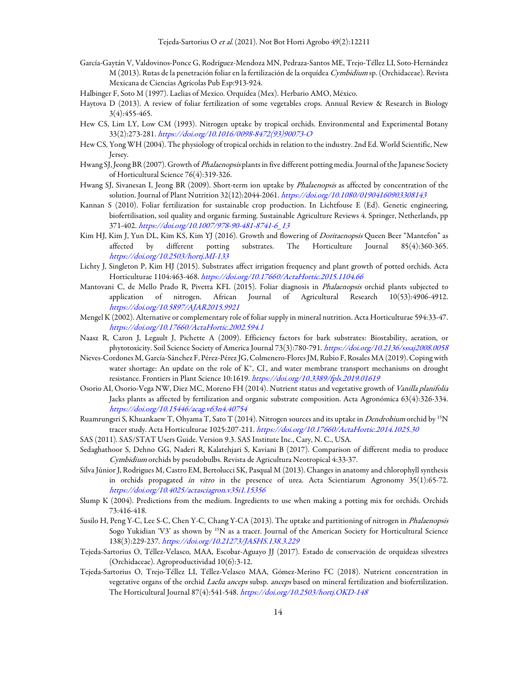- García-Gaytán V, Valdovinos-Ponce G, Rodríguez-Mendoza MN, Pedraza-Santos ME, Trejo-Téllez LI, Soto-Hernández M (2013). Rutas de la penetración foliar en la fertilización de la orquídea Cymbidium sp. (Orchidaceae). Revista Mexicana de Ciencias Agrícolas Pub Esp:913-924.
- Halbinger F, Soto M (1997). Laelias of Mexico. Orquídea (Mex). Herbario AMO, México.
- Haytova D (2013). A review of foliar fertilization of some vegetables crops. Annual Review & Research in Biology 3(4):455-465.
- Hew CS, Lim LY, Low CM (1993). Nitrogen uptake by tropical orchids. Environmental and Experimental Botany 33(2):273-281. https://doi.org/10.1016/0098-8472(93)90073-O
- Hew CS, Yong WH (2004). The physiology of tropical orchids in relation to the industry. 2nd Ed. World Scientific, New Jersey.
- Hwang SJ, Jeong BR (2007). Growth of *Phalaenopsis* plants in five different potting media. Journal of the Japanese Society of Horticultural Science 76(4):319-326.
- Hwang SJ, Sivanesan I, Jeong BR (2009). Short-term ion uptake by Phalaenopsis as affected by concentration of the solution. Journal of Plant Nutrition 32(12):2044-2061. https://doi.org/10.1080/01904160903308143
- Kannan S (2010). Foliar fertilization for sustainable crop production. In Lichtfouse E (Ed). Genetic engineering, biofertilisation, soil quality and organic farming. Sustainable Agriculture Reviews 4. Springer, Netherlands, pp 371-402. https://doi.org/10.1007/978-90-481-8741-6\_13
- Kim HJ, Kim J, Yun DL, Kim KS, Kim YJ (2016). Growth and flowering of *Doritaenopsis* Queen Beer "Mantefon" as affected by different potting substrates. The Horticulture Journal 85(4):360-365. https://doi.org/10.2503/hortj.MI-133
- Lichty J, Singleton P, Kim HJ (2015). Substrates affect irrigation frequency and plant growth of potted orchids. Acta Horticulturae 1104:463-468. https://doi.org/10.17660/ActaHortic.2015.1104.66
- Mantovani C, de Mello Prado R, Pivetta KFL (2015). Foliar diagnosis in *Phalaenopsis* orchid plants subjected to application of nitrogen. African Journal of Agricultural Research 10(53):4906-4912. https://doi.org/10.5897/AJAR2015.9921
- Mengel K (2002). Alternative or complementary role of foliar supply in mineral nutrition. Acta Horticulturae 594:33-47. https://doi.org/10.17660/ActaHortic.2002.594.1
- Naasz R, Caron J, Legault J, Pichette A (2009). Efficiency factors for bark substrates: Biostability, aeration, or phytotoxicity. Soil Science Society of America Journal 73(3):780-791. https://doi.org/10.2136/sssaj2008.0058
- Nieves-Cordones M, García-Sánchez F, Pérez-Pérez JG, Colmenero-Flores JM, Rubio F, Rosales MA (2019). Coping with water shortage: An update on the role of  $K^*$ , Cl<sup>-</sup>, and water membrane transport mechanisms on drought resistance. Frontiers in Plant Science 10:1619. https://doi.org/10.3389/fpls.2019.01619
- Osorio AI, Osorio-Vega NW, Diez MC, Moreno FH (2014). Nutrient status and vegetative growth of Vanilla planifolia Jacks plants as affected by fertilization and organic substrate composition. Acta Agronómica 63(4):326-334. https://doi.org/10.15446/acag.v63n4.40754
- Ruamrungsri S, Khuankaew T, Ohyama T, Sato T (2014). Nitrogen sources and its uptake in *Dendrobium* orchid by <sup>15</sup>N tracer study. Acta Horticulturae 1025:207-211. https://doi.org/10.17660/ActaHortic.2014.1025.30
- SAS (2011). SAS/STAT Users Guide. Version 9.3. SAS Institute Inc., Cary, N. C., USA.
- Sedaghathoor S, Dehno GG, Naderi R, Kalatehjari S, Kaviani B (2017). Comparison of different media to produce Cymbidium orchids by pseudobulbs. Revista de Agricultura Neotropical 4:33-37.
- Silva Júnior J, Rodrigues M, Castro EM, Bertolucci SK, Pasqual M (2013). Changes in anatomy and chlorophyll synthesis in orchids propagated in vitro in the presence of urea. Acta Scientiarum Agronomy 35(1):65-72. https://doi.org/10.4025/actasciagron.v35i1.15356
- Slump K (2004). Predictions from the medium. Ingredients to use when making a potting mix for orchids. Orchids 73:416-418.
- Susilo H, Peng Y-C, Lee S-C, Chen Y-C, Chang Y-CA (2013). The uptake and partitioning of nitrogen in *Phalaenopsis* Sogo Yukidian 'V3' as shown by <sup>15</sup>N as a tracer. Journal of the American Society for Horticultural Science 138(3):229-237. https://doi.org/10.21273/JASHS.138.3.229
- Tejeda-Sartorius O, Téllez-Velasco, MAA, Escobar-Aguayo JJ (2017). Estado de conservación de orquídeas silvestres (Orchidaceae). Agroproductividad 10(6):3-12.
- Tejeda-Sartorius O, Trejo-Téllez LI, Téllez-Velasco MAA, Gómez-Merino FC (2018). Nutrient concentration in vegetative organs of the orchid Laelia anceps subsp. anceps based on mineral fertilization and biofertilization. The Horticultural Journal 87(4):541-548. https://doi.org/10.2503/hortj.OKD-148